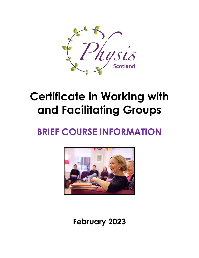

# **Certificate in Working with and Facilitating Groups**

# **BRIEF COURSE INFORMATION**



**February 2023**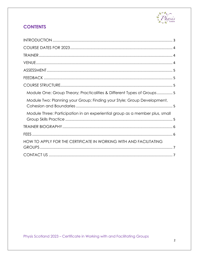

# **CONTENTS**

| Module One: Group Theory; Practicalities & Different Types of Groups5        |
|------------------------------------------------------------------------------|
| Module Two: Planning your Group; Finding your Style; Group Development,      |
| Module Three: Participation in an experiential group as a member plus, small |
|                                                                              |
|                                                                              |
| HOW TO APPLY FOR THE CERTIFICATE IN WORKING WITH AND FACILITATING            |
|                                                                              |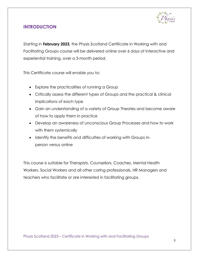

## <span id="page-2-0"></span>**INTRODUCTION**

Starting in **February 2023**, the Physis Scotland Certificate in Working with and Facilitating Groups course will be delivered online over 6 days of interactive and experiential training, over a 3-month period.

This Certificate course will enable you to:

- Explore the practicalities of running a Group
- Critically assess the different types of Groups and the practical & clinical implications of each type
- Gain an understanding of a variety of Group Theories and become aware of how to apply them in practice
- Develop an awareness of unconscious Group Processes and how to work with them systemically
- Identify the benefits and difficulties of working with Groups inperson versus online

This course is suitable for Therapists, Counsellors, Coaches, Mental Health Workers, Social Workers and all other caring professionals, HR Managers and teachers who facilitate or are interested in facilitating groups.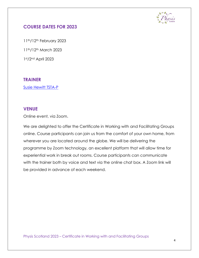

### <span id="page-3-0"></span>**COURSE DATES FOR 2023**

11th/12th February 2023 11th/12th March 2023

1st/2nd April 2023

#### <span id="page-3-1"></span>**TRAINER**

[Susie Hewitt TSTA-P](https://www.physisscotland.co.uk/meet-the-team-2/)

#### <span id="page-3-2"></span>**VENUE**

Online event, via Zoom.

We are delighted to offer the Certificate in Working with and Facilitating Groups online. Course participants can join us from the comfort of your own home, from wherever you are located around the globe. We will be delivering the programme by Zoom technology, an excellent platform that will allow time for experiential work in break out rooms. Course participants can communicate with the trainer both by voice and text via the online chat box. A Zoom link will be provided in advance of each weekend.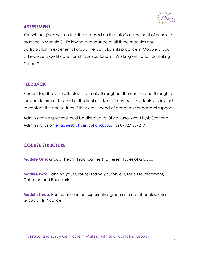

### <span id="page-4-0"></span>**ASSESSMENT**

You will be given written feedback based on the tutor's assessment of your skills practice in Module 3. Following attendance of all three modules and participation in experiential group therapy plus skills practice in Module 3, you will receive a Certificate from Physis Scotland in "Working with and Facilitating Groups".

# <span id="page-4-1"></span>**FEEDBACK**

Student feedback is collected informally throughout the course, and through a feedback form at the end of the final module. At any point students are invited to contact the course tutor if they are in need of academic or pastoral support.

Administrative queries should be directed to Olivia Burroughs, Physis Scotland Administrator on [enquiries@physisscotland.co.uk](mailto:enquiries@physisscotland.co.uk) or 07927 557217

# <span id="page-4-2"></span>**COURSE STRUCTURE**

<span id="page-4-3"></span>**Module One:** Group Theory; Practicalities & Different Types of Groups

<span id="page-4-4"></span>**Module Two:** Planning your Group; Finding your Style; Group Development, Cohesion and Boundaries

<span id="page-4-5"></span>**Module Three:** Participation in an experiential group as a member plus, small Group Skills Practice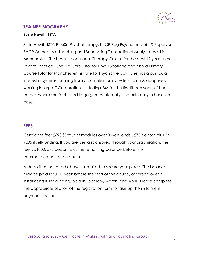

#### <span id="page-5-0"></span>**TRAINER BIOGRAPHY**

#### **Susie Hewitt, TSTA**

Susie Hewitt TSTA-P, MSc Psychotherapy; UKCP Reg Psychotherapist & Supervisor; BACP Accred. is a Teaching and Supervising Transactional Analyst based in Manchester. She has run continuous Therapy Groups for the past 12 years in her Private Practice. She is a Core Tutor for Physis Scotland and also a Primary Course Tutor for Manchester Institute for Psychotherapy. She has a particular interest in systems, coming from a complex family system (birth & adoptive), working in large IT Corporations including IBM for the first fifteen years of her career, where she facilitated large groups internally and externally in her client base.

#### <span id="page-5-1"></span>**FEES**

Certificate fee: £690 (3 taught modules over 3 weekends). £75 deposit plus 3 x £205 if self-funding. If you are being sponsored through your organisation, the fee is £1000. £75 deposit plus the remaining balance before the commencement of the course.

A deposit as indicated above is required to secure your place. The balance may be paid in full 1 week before the start of the course, or spread over 3 instalments if self-funding, paid in February, March, and April. Please complete the appropriate section of the registration form to take up the instalment payments option.